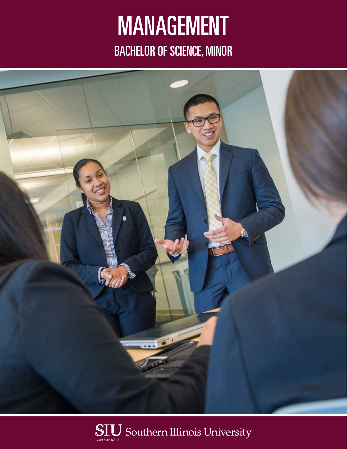# MANAGEMENT BACHELOR OF SCIENCE, MINOR